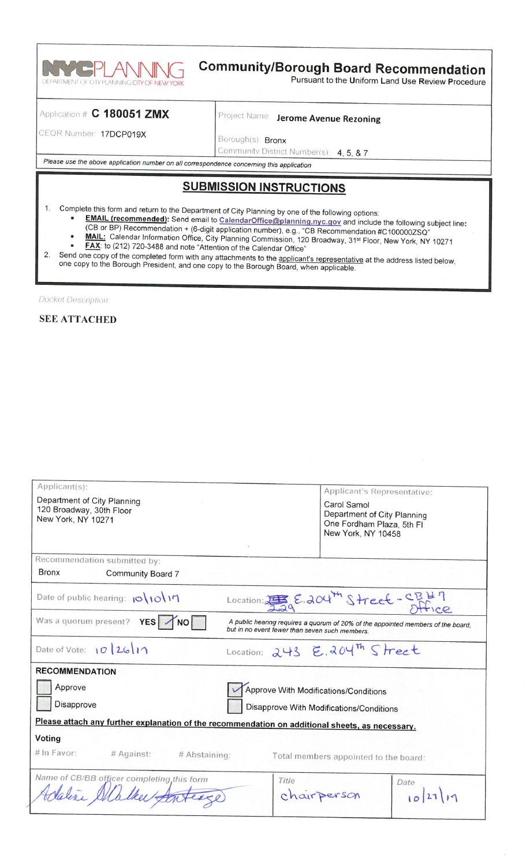

# **Community/Borough Board Recommendation**

Pursuant to the Uniform Land Use Review Procedure

#### Application # C 180051 ZMX

Project Name: Jerome Avenue Rezoning

CEQR Number: 17DCP019X

Borough(s): Bronx Community District Number(s): 4, 5, & 7

Please use the above application number on all correspondence concerning this application

# **SUBMISSION INSTRUCTIONS**

- Complete this form and return to the Department of City Planning by one of the following options:
	- **EMAIL (recommended):** Send email to CalendarOffice@planning.nyc.gov and include the following subject line:
	- (CB or BP) Recommendation + (6-digit application number), e.g., "CB Recommendation #C100000ZSQ"<br>MAIL: Calendar Information Office, City Planning Commission, 120 Broadway, 31<sup>st</sup> Floor, New York, NY 10271
	- FAX: to (212) 720-3488 and note "Attention of the Calendar Office"
- 
- Send one copy of the completed form with any attachments to the applicant's representative at the address listed below,  $2.$ one copy to the Borough President, and one copy to the Borough Board, when applicable.

Docket Description.

 $1.$ 

#### **SEE ATTACHED**

| Applicant(s):<br>Department of City Planning<br>120 Broadway, 30th Floor<br>New York, NY 10271  | Applicant's Representative:<br>Carol Samol<br>Department of City Planning<br>One Fordham Plaza, 5th Fl<br>New York, NY 10458       |
|-------------------------------------------------------------------------------------------------|------------------------------------------------------------------------------------------------------------------------------------|
| Recommendation submitted by:                                                                    |                                                                                                                                    |
| <b>Bronx</b><br>Community Board 7                                                               |                                                                                                                                    |
| Date of public hearing: $\frac{1}{\sqrt{2}}$                                                    | Location: $256.204^m$ Street - $CBH$                                                                                               |
| Was a quorum present?<br>YES  <br><b>NO</b>                                                     | A public hearing requires a quorum of 20% of the appointed members of the board,<br>but in no event fewer than seven such members. |
| Date of Vote: $\lceil \mathcal{O} \rceil$ 26   1                                                | Location: 243 E.204th Street                                                                                                       |
| <b>RECOMMENDATION</b>                                                                           |                                                                                                                                    |
| Approve                                                                                         | Approve With Modifications/Conditions                                                                                              |
| Disapprove                                                                                      | Disapprove With Modifications/Conditions                                                                                           |
| Please attach any further explanation of the recommendation on additional sheets, as necessary. |                                                                                                                                    |
| Voting                                                                                          |                                                                                                                                    |
| # In Favor:<br># Against:<br># Abstaining:                                                      | Total members appointed to the board:                                                                                              |
| Name of CB/BB officer completing, this form                                                     | Title<br>Date<br>$10^{211}$<br>chair person                                                                                        |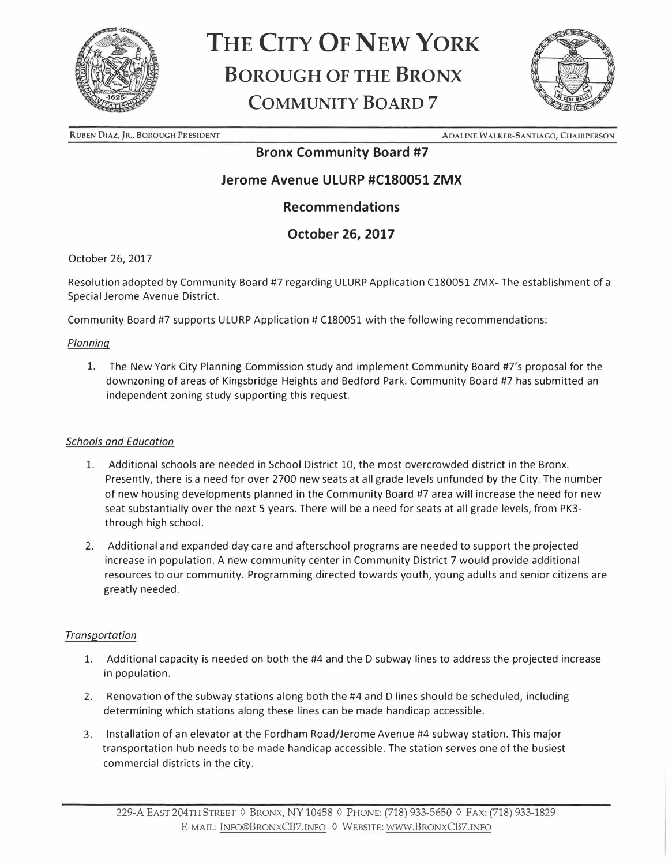

# **THE CITY OF NEW YORK BOROUGH OF THE BRONX COMMUNITY BOARD 7**



**RUBEN DIAZ, JR., BOROUGH PRESIDENT ADALINE WALKER-SANTIAGO, CHAIRPERSON** 

### **Bronx Community Board #7**

## **Jerome Avenue ULURP #Cl80051 ZMX**

### **Recommendations**

### **October 26, 2017**

October 26, 2017

Resolution adopted by Community Board #7 regarding ULURP Application Cl80051 ZMX- The establishment of a Special Jerome Avenue District.

Community Board #7 supports ULURP Application# C180051 with the following recommendations:

#### *Planning*

l. The New York City Planning Commission study and implement Community Board #7's proposal for the downzoning of areas of Kingsbridge Heights and Bedford Park. Community Board #7 has submitted an independent zoning study supporting this request.

#### *Schools and Education*

- l. Additional schools are needed in School District 10, the most overcrowded district in the Bronx. Presently, there is a need for over 2700 new seats at all grade levels unfunded by the City. The number of new housing developments planned in the Community Board #7 area will increase the need for new seat substantially over the next 5 years. There will be a need for seats at all grade levels, from PK3 through high school.
- 2. Additional and expanded day care and afterschool programs are needed to support the projected increase in population. A new community center in Community District 7 would provide additional resources to our community. Programming directed towards youth, young adults and senior citizens are greatly needed.

#### *Transportation*

- l. Additional capacity is needed on both the #4 and the D subway lines to address the projected increase in population.
- 2. Renovation of the subway stations along both the #4 and D lines should be scheduled, including determining which stations along these lines can be made handicap accessible.
- 3. Installation of an elevator at the Fordham Road/Jerome Avenue #4 subway station. This major transportation hub needs to be made handicap accessible. The station serves one of the busiest commercial districts in the city.